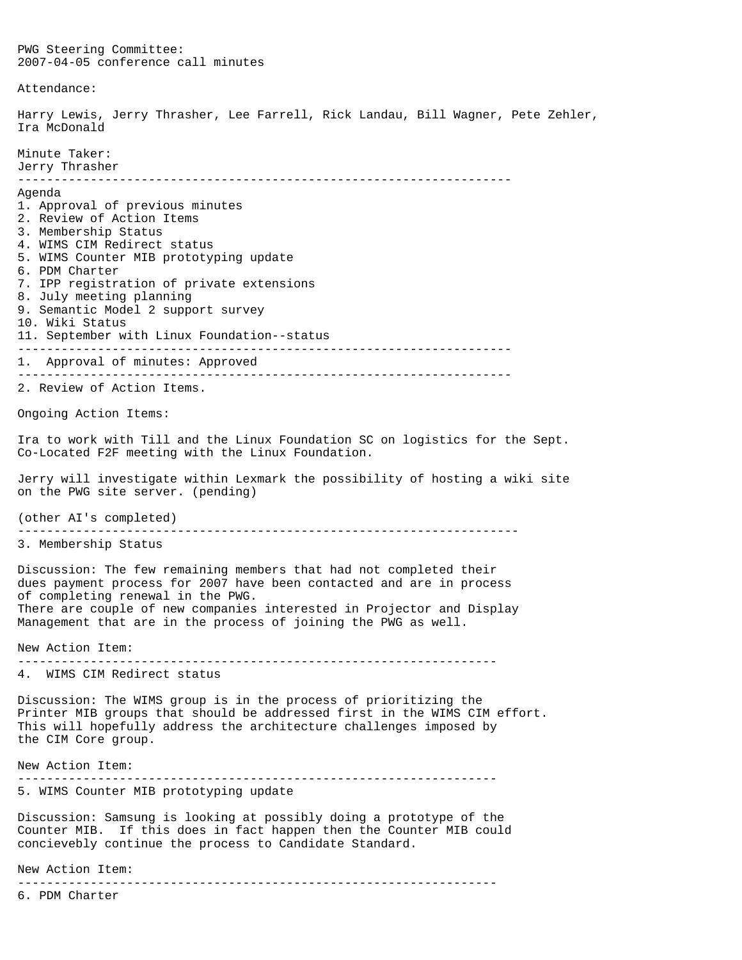PWG Steering Committee: 2007-04-05 conference call minutes Attendance: Harry Lewis, Jerry Thrasher, Lee Farrell, Rick Landau, Bill Wagner, Pete Zehler, Ira McDonald Minute Taker: Jerry Thrasher -------------------------------------------------------------------- Agenda 1. Approval of previous minutes 2. Review of Action Items 3. Membership Status 4. WIMS CIM Redirect status 5. WIMS Counter MIB prototyping update 6. PDM Charter 7. IPP registration of private extensions 8. July meeting planning 9. Semantic Model 2 support survey 10. Wiki Status 11. September with Linux Foundation--status -------------------------------------------------------------------- 1. Approval of minutes: Approved -------------------------------------------------------------------- 2. Review of Action Items. Ongoing Action Items: Ira to work with Till and the Linux Foundation SC on logistics for the Sept. Co-Located F2F meeting with the Linux Foundation. Jerry will investigate within Lexmark the possibility of hosting a wiki site on the PWG site server. (pending) (other AI's completed) --------------------------------------------------------------------- 3. Membership Status Discussion: The few remaining members that had not completed their dues payment process for 2007 have been contacted and are in process of completing renewal in the PWG. There are couple of new companies interested in Projector and Display Management that are in the process of joining the PWG as well. New Action Item: ------------------------------------------------------------------ 4. WIMS CIM Redirect status Discussion: The WIMS group is in the process of prioritizing the Printer MIB groups that should be addressed first in the WIMS CIM effort. This will hopefully address the architecture challenges imposed by the CIM Core group. New Action Item: ------------------------------------------------------------------ 5. WIMS Counter MIB prototyping update Discussion: Samsung is looking at possibly doing a prototype of the Counter MIB. If this does in fact happen then the Counter MIB could concievebly continue the process to Candidate Standard. New Action Item:

------------------------------------------------------------------

6. PDM Charter